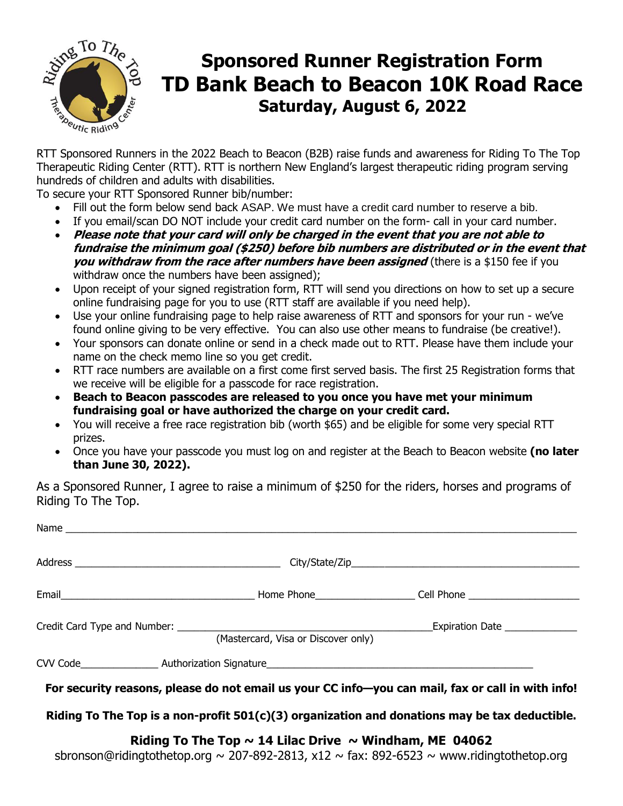

# **Sponsored Runner Registration Form TD Bank Beach to Beacon 10K Road Race Saturday, August 6, 2022**  $R_{\text{R}}$ <br>RTT Sponsored Runners in the 2022 Beach to Beacon (B2B) raise funds and awareness for Riding To The Top

Therapeutic Riding Center (RTT). RTT is northern New England's largest therapeutic riding program serving hundreds of children and adults with disabilities.

To secure your RTT Sponsored Runner bib/number:

- Fill out the form below send back ASAP. We must have a credit card number to reserve a bib.
- If you email/scan DO NOT include your credit card number on the form- call in your card number.
- **Please note that your card will only be charged in the event that you are not able to fundraise the minimum goal (\$250) before bib numbers are distributed or in the event that you withdraw from the race after numbers have been assigned** (there is a \$150 fee if you withdraw once the numbers have been assigned);
- Upon receipt of your signed registration form, RTT will send you directions on how to set up a secure online fundraising page for you to use (RTT staff are available if you need help).
- Use your online fundraising page to help raise awareness of RTT and sponsors for your run we've found online giving to be very effective. You can also use other means to fundraise (be creative!).
- Your sponsors can donate online or send in a check made out to RTT. Please have them include your name on the check memo line so you get credit.
- RTT race numbers are available on a first come first served basis. The first 25 Registration forms that we receive will be eligible for a passcode for race registration.
- **Beach to Beacon passcodes are released to you once you have met your minimum fundraising goal or have authorized the charge on your credit card.**
- You will receive a free race registration bib (worth \$65) and be eligible for some very special RTT prizes.
- Once you have your passcode you must log on and register at the Beach to Beacon website **(no later than June 30, 2022).**

As a Sponsored Runner, I agree to raise a minimum of \$250 for the riders, horses and programs of Riding To The Top.

| (Mastercard, Visa or Discover only) |                                                                                                   |
|-------------------------------------|---------------------------------------------------------------------------------------------------|
|                                     |                                                                                                   |
|                                     | For security reasons, please do not email us your CC info-you can mail, fax or call in with info! |
|                                     | Riding To The Top is a non-profit 501(c)(3) organization and donations may be tax deductible.     |

Riding To The Top  $\sim$  14 Lilac Drive  $\sim$  Windham, ME 04062

sbronso[n@ridingtothetop.org](http://@ridingtothetop.org) ~ 207-892-2813, x12 ~ fax: 892-6523 ~ [www.ridingtothetop.org](http://www.ridingtothetop.org/)